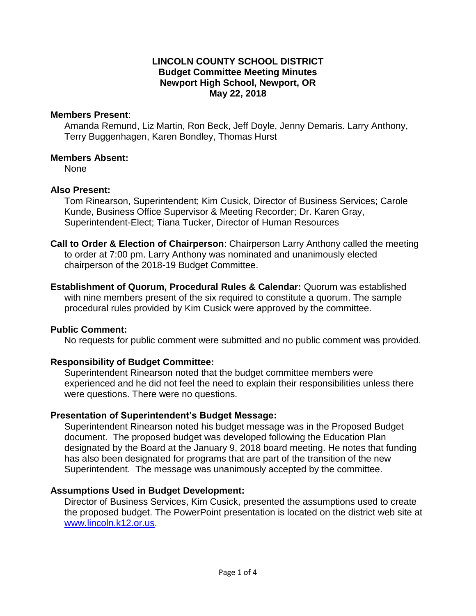#### **May 22, 2018 LINCOLN COUNTY SCHOOL DISTRICT Budget Committee Meeting Minutes Newport High School, Newport, OR**

#### **Members Present:**

 **Members Present**: Amanda Remund, Liz Martin, Ron Beck, Jeff Doyle, Jenny Demaris. Larry Anthony, Terry Buggenhagen, Karen Bondley, Thomas Hurst

#### **Members Absent:**

None

# **Also Present:**

 Kunde, Business Office Supervisor & Meeting Recorder; Dr. Karen Gray, Tom Rinearson, Superintendent; Kim Cusick, Director of Business Services; Carole Superintendent-Elect; Tiana Tucker, Director of Human Resources

- chairperson of the 2018-19 Budget Committee. **Call to Order & Election of Chairperson**: Chairperson Larry Anthony called the meeting to order at 7:00 pm. Larry Anthony was nominated and unanimously elected
- with nine members present of the six required to constitute a quorum. The sample procedural rules provided by Kim Cusick were approved by the committee. **Establishment of Quorum, Procedural Rules & Calendar:** Quorum was established

# **Public Comment:**

No requests for public comment were submitted and no public comment was provided.

# **Responsibility of Budget Committee:**

 were questions. There were no questions. Superintendent Rinearson noted that the budget committee members were experienced and he did not feel the need to explain their responsibilities unless there

# **Presentation of Superintendent's Budget Message:**

 document. The proposed budget was developed following the Education Plan has also been designated for programs that are part of the transition of the new Superintendent. The message was unanimously accepted by the committee. Superintendent Rinearson noted his budget message was in the Proposed Budget designated by the Board at the January 9, 2018 board meeting. He notes that funding

# **Assumptions Used in Budget Development:**

 the proposed budget. The PowerPoint presentation is located on the district web site at Director of Business Services, Kim Cusick, presented the assumptions used to create [www.lincoln.k12.or.us.](http://www.lincoln.k12.or.us/)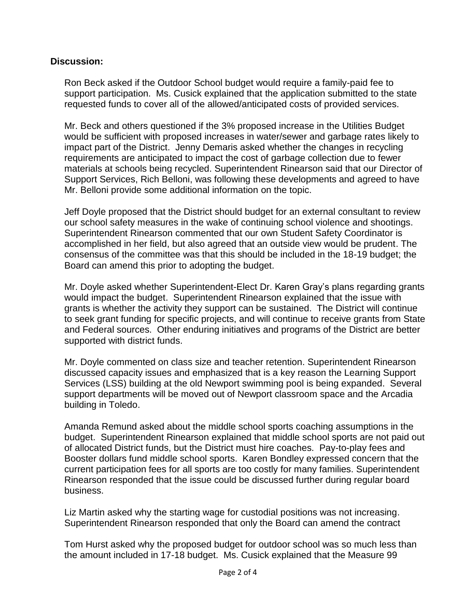#### **Discussion:**

 support participation. Ms. Cusick explained that the application submitted to the state Ron Beck asked if the Outdoor School budget would require a family-paid fee to requested funds to cover all of the allowed/anticipated costs of provided services.

 Mr. Beck and others questioned if the 3% proposed increase in the Utilities Budget would be sufficient with proposed increases in water/sewer and garbage rates likely to impact part of the District. Jenny Demaris asked whether the changes in recycling requirements are anticipated to impact the cost of garbage collection due to fewer materials at schools being recycled. Superintendent Rinearson said that our Director of Support Services, Rich Belloni, was following these developments and agreed to have Mr. Belloni provide some additional information on the topic.

 accomplished in her field, but also agreed that an outside view would be prudent. The Board can amend this prior to adopting the budget. Jeff Doyle proposed that the District should budget for an external consultant to review our school safety measures in the wake of continuing school violence and shootings. Superintendent Rinearson commented that our own Student Safety Coordinator is consensus of the committee was that this should be included in the 18-19 budget; the

 Mr. Doyle asked whether Superintendent-Elect Dr. Karen Gray's plans regarding grants would impact the budget. Superintendent Rinearson explained that the issue with grants is whether the activity they support can be sustained. The District will continue to seek grant funding for specific projects, and will continue to receive grants from State and Federal sources. Other enduring initiatives and programs of the District are better supported with district funds.

 Services (LSS) building at the old Newport swimming pool is being expanded. Several support departments will be moved out of Newport classroom space and the Arcadia building in Toledo. Mr. Doyle commented on class size and teacher retention. Superintendent Rinearson discussed capacity issues and emphasized that is a key reason the Learning Support

 budget. Superintendent Rinearson explained that middle school sports are not paid out current participation fees for all sports are too costly for many families. Superintendent Rinearson responded that the issue could be discussed further during regular board Amanda Remund asked about the middle school sports coaching assumptions in the of allocated District funds, but the District must hire coaches. Pay-to-play fees and Booster dollars fund middle school sports. Karen Bondley expressed concern that the business.

Liz Martin asked why the starting wage for custodial positions was not increasing. Superintendent Rinearson responded that only the Board can amend the contract

 the amount included in 17-18 budget. Ms. Cusick explained that the Measure 99 Tom Hurst asked why the proposed budget for outdoor school was so much less than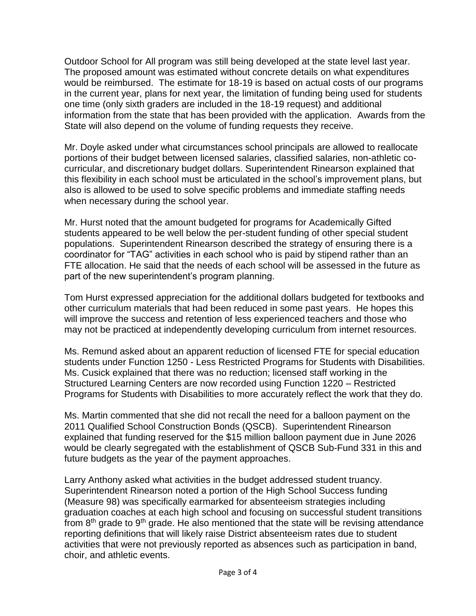The proposed amount was estimated without concrete details on what expenditures information from the state that has been provided with the application. Awards from the Outdoor School for All program was still being developed at the state level last year. would be reimbursed. The estimate for 18-19 is based on actual costs of our programs in the current year, plans for next year, the limitation of funding being used for students one time (only sixth graders are included in the 18-19 request) and additional State will also depend on the volume of funding requests they receive.

 Mr. Doyle asked under what circumstances school principals are allowed to reallocate also is allowed to be used to solve specific problems and immediate staffing needs portions of their budget between licensed salaries, classified salaries, non-athletic cocurricular, and discretionary budget dollars. Superintendent Rinearson explained that this flexibility in each school must be articulated in the school's improvement plans, but when necessary during the school year.

 populations. Superintendent Rinearson described the strategy of ensuring there is a FTE allocation. He said that the needs of each school will be assessed in the future as Mr. Hurst noted that the amount budgeted for programs for Academically Gifted students appeared to be well below the per-student funding of other special student coordinator for "TAG" activities in each school who is paid by stipend rather than an part of the new superintendent's program planning.

 will improve the success and retention of less experienced teachers and those who may not be practiced at independently developing curriculum from internet resources. Tom Hurst expressed appreciation for the additional dollars budgeted for textbooks and other curriculum materials that had been reduced in some past years. He hopes this

 students under Function 1250 - Less Restricted Programs for Students with Disabilities. Structured Learning Centers are now recorded using Function 1220 – Restricted Ms. Remund asked about an apparent reduction of licensed FTE for special education Ms. Cusick explained that there was no reduction; licensed staff working in the Programs for Students with Disabilities to more accurately reflect the work that they do.

 Ms. Martin commented that she did not recall the need for a balloon payment on the explained that funding reserved for the \$15 million balloon payment due in June 2026 would be clearly segregated with the establishment of QSCB Sub-Fund 331 in this and future budgets as the year of the payment approaches. 2011 Qualified School Construction Bonds (QSCB). Superintendent Rinearson

 Larry Anthony asked what activities in the budget addressed student truancy. (Measure 98) was specifically earmarked for absenteeism strategies including from  $8<sup>th</sup>$  grade to  $9<sup>th</sup>$  grade. He also mentioned that the state will be revising attendance reporting definitions that will likely raise District absenteeism rates due to student choir, and athletic events. Superintendent Rinearson noted a portion of the High School Success funding graduation coaches at each high school and focusing on successful student transitions activities that were not previously reported as absences such as participation in band,